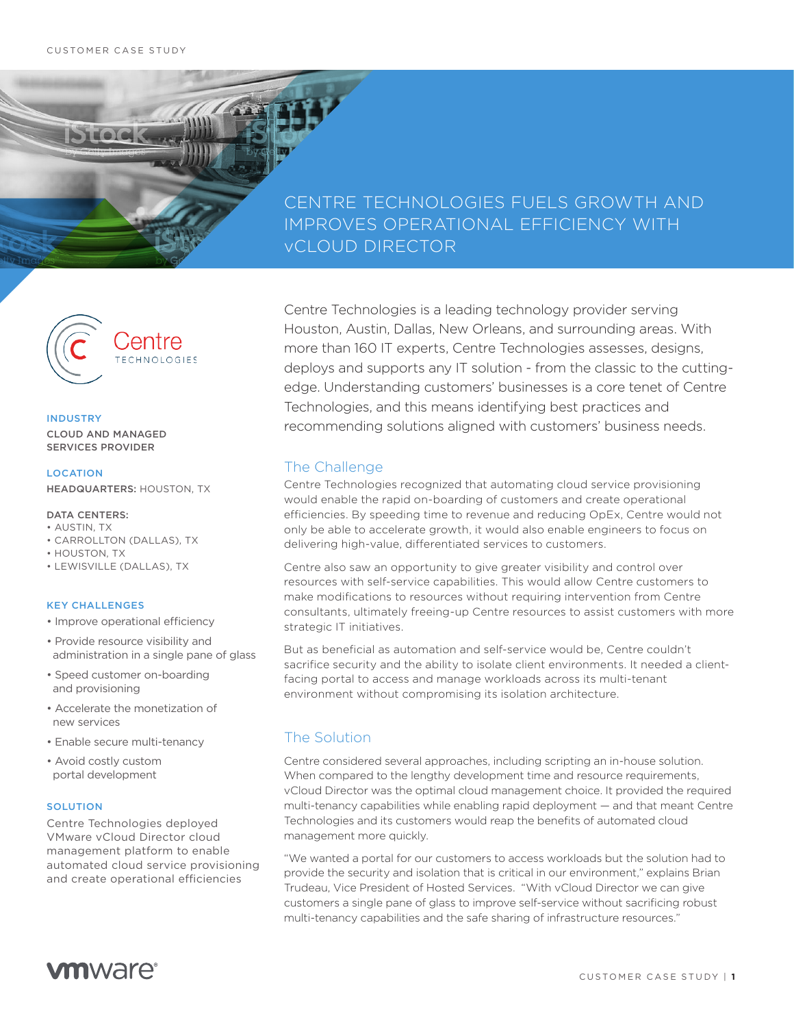STEOLO

## CENTRE TECHNOLOGIES FUELS GROWTH AND IMPROVES OPERATIONAL EFFICIENCY WITH vCLOUD DIRECTOR



#### INDUSTRY

CLOUD AND MANAGED SERVICES PROVIDER

### **LOCATION**

HEADQUARTERS: HOUSTON, TX

- DATA CENTERS:
- AUSTIN, TX
- CARROLLTON (DALLAS), TX
- HOUSTON, TX
- LEWISVILLE (DALLAS), TX

### KEY CHALLENGES

- Improve operational efficiency
- Provide resource visibility and administration in a single pane of glass
- Speed customer on-boarding and provisioning
- Accelerate the monetization of new services
- Enable secure multi-tenancy
- Avoid costly custom portal development

#### **SOLUTION**

Centre Technologies deployed VMware vCloud Director cloud management platform to enable automated cloud service provisioning and create operational efficiencies

Centre Technologies is a leading technology provider serving Houston, Austin, Dallas, New Orleans, and surrounding areas. With more than 160 IT experts, Centre Technologies assesses, designs, deploys and supports any IT solution - from the classic to the cuttingedge. Understanding customers' businesses is a core tenet of Centre Technologies, and this means identifying best practices and recommending solutions aligned with customers' business needs.

## The Challenge

Centre Technologies recognized that automating cloud service provisioning would enable the rapid on-boarding of customers and create operational efficiencies. By speeding time to revenue and reducing OpEx, Centre would not only be able to accelerate growth, it would also enable engineers to focus on delivering high-value, differentiated services to customers.

Centre also saw an opportunity to give greater visibility and control over resources with self-service capabilities. This would allow Centre customers to make modifications to resources without requiring intervention from Centre consultants, ultimately freeing-up Centre resources to assist customers with more strategic IT initiatives.

But as beneficial as automation and self-service would be, Centre couldn't sacrifice security and the ability to isolate client environments. It needed a clientfacing portal to access and manage workloads across its multi-tenant environment without compromising its isolation architecture.

## The Solution

Centre considered several approaches, including scripting an in-house solution. When compared to the lengthy development time and resource requirements, vCloud Director was the optimal cloud management choice. It provided the required multi-tenancy capabilities while enabling rapid deployment — and that meant Centre Technologies and its customers would reap the benefits of automated cloud management more quickly.

"We wanted a portal for our customers to access workloads but the solution had to provide the security and isolation that is critical in our environment," explains Brian Trudeau, Vice President of Hosted Services. "With vCloud Director we can give customers a single pane of glass to improve self-service without sacrificing robust multi-tenancy capabilities and the safe sharing of infrastructure resources."